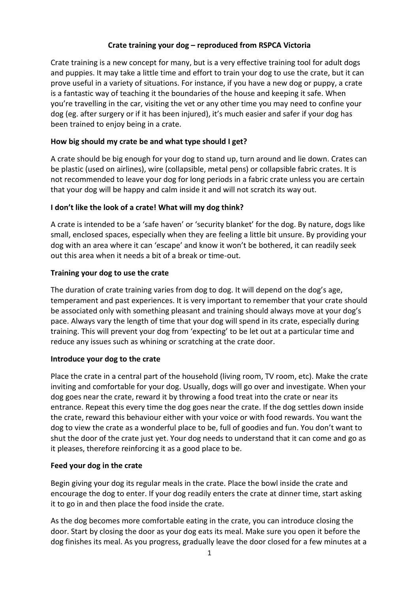# **Crate training your dog – reproduced from RSPCA Victoria**

Crate training is a new concept for many, but is a very effective training tool for adult dogs and puppies. It may take a little time and effort to train your dog to use the crate, but it can prove useful in a variety of situations. For instance, if you have a new dog or puppy, a crate is a fantastic way of teaching it the boundaries of the house and keeping it safe. When you're travelling in the car, visiting the vet or any other time you may need to confine your dog (eg. after surgery or if it has been injured), it's much easier and safer if your dog has been trained to enjoy being in a crate.

## **How big should my crate be and what type should I get?**

A crate should be big enough for your dog to stand up, turn around and lie down. Crates can be plastic (used on airlines), wire (collapsible, metal pens) or collapsible fabric crates. It is not recommended to leave your dog for long periods in a fabric crate unless you are certain that your dog will be happy and calm inside it and will not scratch its way out.

## **I don't like the look of a crate! What will my dog think?**

A crate is intended to be a 'safe haven' or 'security blanket' for the dog. By nature, dogs like small, enclosed spaces, especially when they are feeling a little bit unsure. By providing your dog with an area where it can 'escape' and know it won't be bothered, it can readily seek out this area when it needs a bit of a break or time-out.

# **Training your dog to use the crate**

The duration of crate training varies from dog to dog. It will depend on the dog's age, temperament and past experiences. It is very important to remember that your crate should be associated only with something pleasant and training should always move at your dog's pace. Always vary the length of time that your dog will spend in its crate, especially during training. This will prevent your dog from 'expecting' to be let out at a particular time and reduce any issues such as whining or scratching at the crate door.

## **Introduce your dog to the crate**

Place the crate in a central part of the household (living room, TV room, etc). Make the crate inviting and comfortable for your dog. Usually, dogs will go over and investigate. When your dog goes near the crate, reward it by throwing a food treat into the crate or near its entrance. Repeat this every time the dog goes near the crate. If the dog settles down inside the crate, reward this behaviour either with your voice or with food rewards. You want the dog to view the crate as a wonderful place to be, full of goodies and fun. You don't want to shut the door of the crate just yet. Your dog needs to understand that it can come and go as it pleases, therefore reinforcing it as a good place to be.

## **Feed your dog in the crate**

Begin giving your dog its regular meals in the crate. Place the bowl inside the crate and encourage the dog to enter. If your dog readily enters the crate at dinner time, start asking it to go in and then place the food inside the crate.

As the dog becomes more comfortable eating in the crate, you can introduce closing the door. Start by closing the door as your dog eats its meal. Make sure you open it before the dog finishes its meal. As you progress, gradually leave the door closed for a few minutes at a